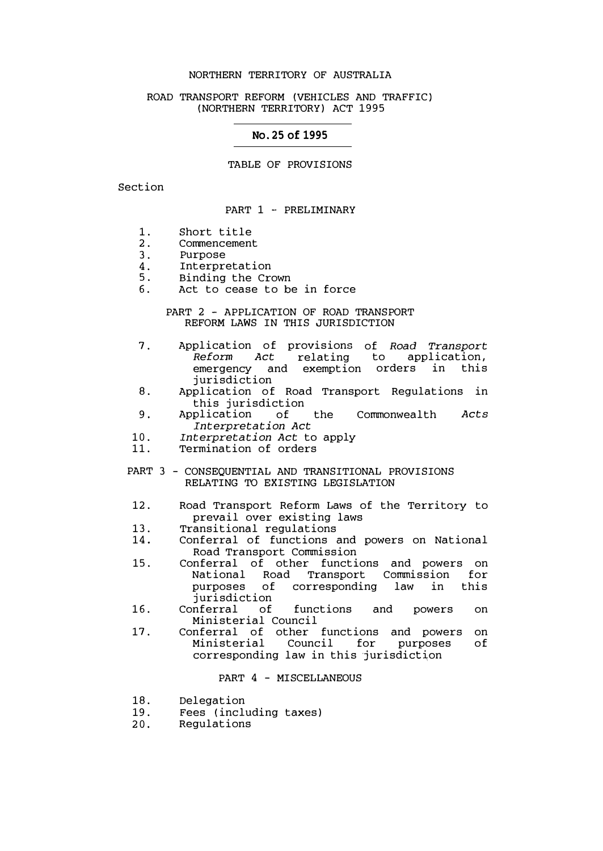#### NORTHERN TERRITORY OF AUSTRALIA

# ROAD TRANSPORT REFORM (VEHICLES AND TRAFFIC) (NORTHERN TERRITORY) ACT 1995

# No. 25 of 1995

#### TABLE OF PROVISIONS

Section

#### PART 1 - PRELIMINARY

- 1. Short title<br>2. Commencemen
- 2. Commencement<br>3. Purpose
- 3. Purpose<br>4. Interpre
- 4. Interpretation<br>5. Binding the Cro
- 5. Binding the Crown<br>6. Act to cease to b
- Act to cease to be in force

PART 2 - APPLICATION OF ROAD TRANSPORT REFORM LAWS IN THIS JURISDICTION

- 7. Application of provisions of *Road Transport Reform Act* relating emergency and exemption orders in this jurisdiction to application,
- 8. Application of Road Transport Regulations in this jurisdiction
- 9. Application *Interpretation Act*  Commonwealth *Acts*
- 10. *Interpretation Act* to apply
- 11. Termination of orders
- PART 3 CONSEQUENTIAL AND TRANSITIONAL PROVISIONS RELATING TO EXISTING LEGISLATION
- 12. Road Transport Reform Laws of the Territory to prevail over existing laws
- 13. Transitional regulations
- 14. Conferral of functions and powers on National Road Transport Commission
- 15. Conferral of other functions and powers on National Road Transport Commission<br>purposes of corresponding law in corresponding for this jurisdiction<br>Conferral of
- 16. functions Ministerial Council and powers on
- 17. Conferral of other functions and powers on<br>Ministerial Council for purposes of Ministerial Council for purposes of corresponding law in this jurisdiction

# PART 4 - MISCELLANEOUS

- 18. Delegation<br>19. Fees.(incl)
- 19. Fees (including taxes)<br>20. Requlations
- Regulations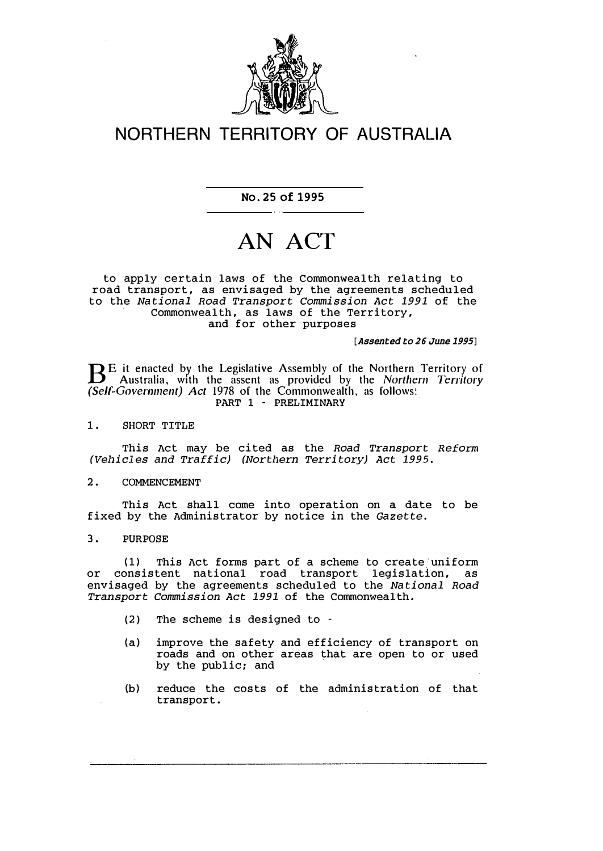

# **NORTHERN TERRITORY OF AUSTRALIA**

No. 25 of 1995

# **AN ACT**

# to apply certain laws of the Commonwealth relating to road transport, as envisaged by the agreements scheduled to the *National Road Transport Commission Act 1991* of the Commonwealth, as laws of the Territory, and for other purposes

**[**Assented to 26 June 1995**]**

**BE** it enacted by the Legislative Assembly of the Northern Territory of Australia, with the assent as provided by the Northern Territory Australia, with the assent as provided by the *Northern Ter<sup>r</sup> itory (Self-Government) Act* 1978 of the Commonwealth, as follows: **PART 1 - PRELIMINARY** 

1. SHORT TITLE

This Act may be cited as the *Road Transport Reform (Vehicles and Traffic) (Northern Territory) Act 1995.* 

**2 • COMMENCEMENT** 

This Act shall come into operation on a date to be fixed by the Administrator by notice in the *Gazette.* 

**3. PURPOSE**

(1) This Act forms part of a scheme to create uniform or consistent national road transport legislation, envisaged by the agreements scheduled to the *National Road Transport Commission Act 1991* of the Commonwealth.

- (2) The scheme is designed to -
- (a) improve the safety and efficiency of transport on roads and on other areas that are open to or used by the public; and
- (b) reduce the costs of the administration of that transport.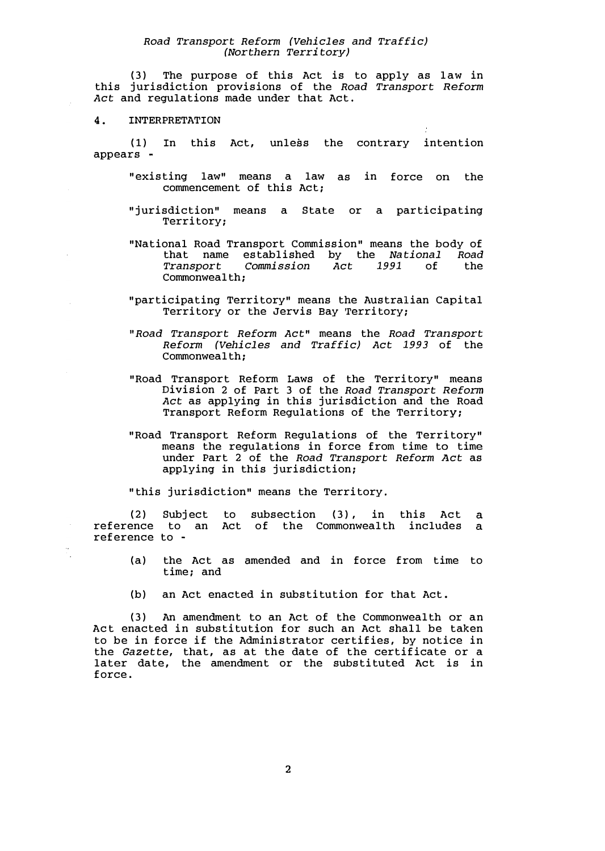(3) The purpose of this Act is to apply as law in this jurisdiction provisions of the *Road Transport Reform Act* and regulations made under that Act.

4. INTERPRETATION

(1) In this Act, unless the contrary intention appears

- "existing law" means a law as in force on the commencement of this Act;
- "jurisdiction" means a State or a participating Territory;
- "National Road Transport Commission" means the body of that name established by the *National Road Transport Commission Act 1991* of the Commonwealth;
- "participating Territory" means the Australian Capital Territory or the Jervis Bay Territory;
- *"Road Transport Reform Act"* means the *Road Transport Reform (Vehicles and Traffic) Act 1993* of the Commonwealth;
- "Road Transport Reform Laws of the Territory" means Division 2 of Part 3 of the *Road Transport Reform Act* as applying in this jurisdiction and the Road Transport Reform Regulations of the Territory;
- "Road Transport Reform Regulations of the Territory" means the regulations in force from time to time under Part 2 of the *Road Transport Reform Act* as applying in this jurisdiction;

"this jurisdiction" means the Territory.

(2) Subject reference to an reference to to subsection (3), in this Act Act of the Commonwealth includes a a

- (a) the Act as amended and in force from time to time; and
- (b) an Act enacted in substitution for that Act.

(3) An amendment to an Act of the Commonwealth or an Act enacted in substitution for such an Act shall be taken to be in force if the Administrator certifies, by notice in the *Gazette,* that, as at the date of the certificate or a later date, the amendment or the substituted Act is in force.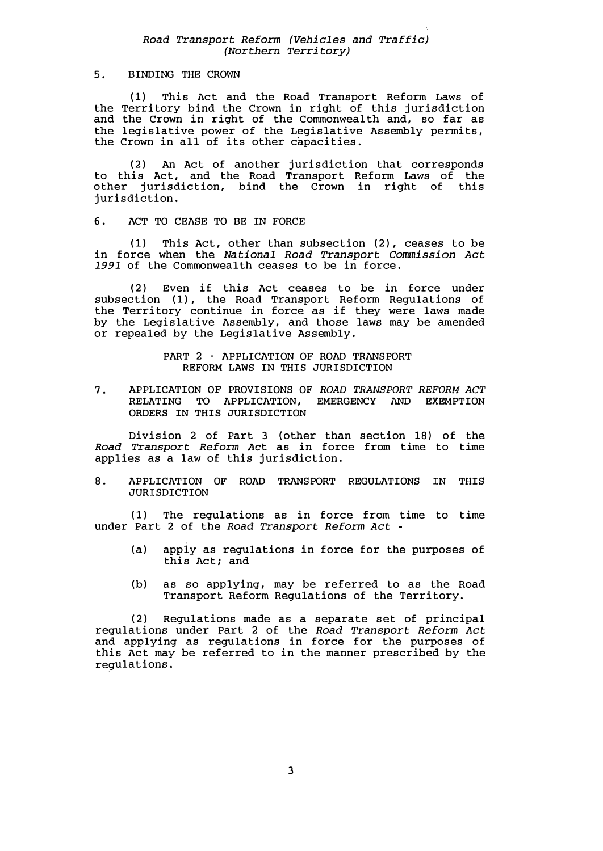# *Road Transport Reform (Vehicles and Traffic) (Northern Territory)*

# 5. BINDING THE CROWN

(1) This Act and the Road Transport Reform Laws of the Territory bind the Crown in right of this jurisdiction and the Crown in right of the Commonwealth and, so far as the legislative power of the Legislative Assembly permits, the Crown in all of its other capacities.

(2) An Act of another jurisdiction that corresponds to this Act, and the Road Transport Reform Laws of the other jurisdiction, bind the Crown in right of this jurisdiction.

#### 6. ACT TO CEASE TO BE IN FORCE

(1) This Act, other than subsection (2), ceases to be in force when the *National Road Transport Commission Act 1991* of the Commonwealth ceases to be in force.

(2) Even if this Act ceases to be in force under subsection (1), the Road Transport Reform Regulations of the Territory continue in force as if they were laws made by the Legislative Assembly, and those laws may be amended or repealed by the Legislative Assembly.

#### PART 2 - APPLICATION OF ROAD TRANSPORT REFORM LAWS IN THIS JURISDICTION

7. APPLICATION OF PROVISIONS OF *ROAD TRANSPORT REFORM ACT* RELATING TO APPLICATION, EMERGENCY AND EXEMPTION ORDERS IN THIS JURISDICTION

Division 2 of Part 3 (other than section 18) of the *Road Transport Reform* Act as in force from time to time applies as a law of this jurisdiction.

#### 8. APPLICATION OF ROAD TRANSPORT REGULATIONS IN THIS JURISDICTION

(1) The regulations as in force from time to time under Part 2 of the *Road Transport Reform Act*

- (a) appiy as regulations in force for the purposes of this Act; and
- (b) as so applying, may be referred to as the Road Transport Reform Regulations of the Territory.

(2) Regulations made as a separate set of principal regulations under Part 2 of the *Road Transport Reform Act* and applying as regulations in force for the purposes of this Act may be referred to in the manner prescribed by the regulations.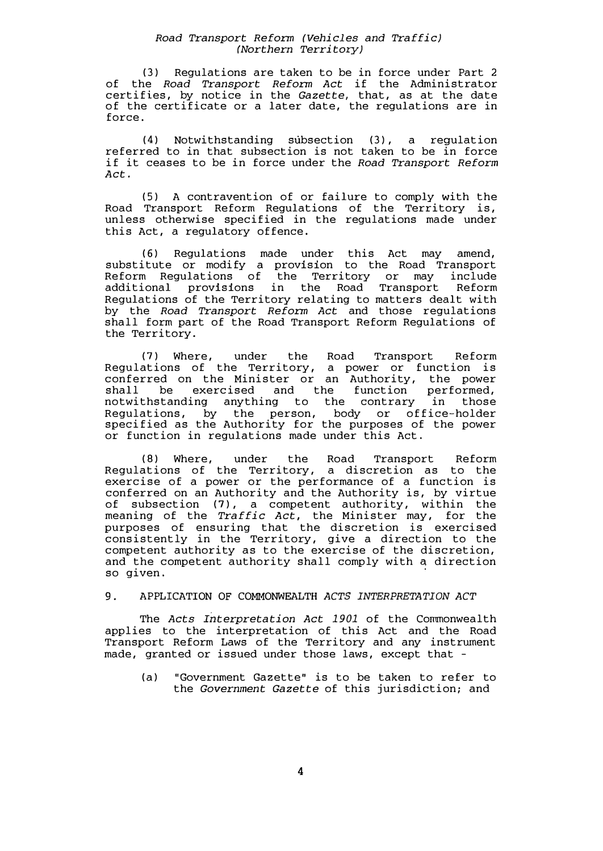(3) Regulations are taken to be in force under Part 2 of the *Road Transport Reform Act* if the Administrator certifies, by notice in the *Gazette,* that, as at the date of the certificate or a later date, the regulations are in force.

(4) Notwithstanding subsection (3), a regulation referred to in that subsection is not taken to be in force if it ceases to be in force under the *Road Transport Reform Act.* 

(5) A contravention of or failure to comply with the Road Transport Reform Regulations of the Territory is, unless otherwise specified in the regulations made under this Act, a regulatory offence.

(6) Regulations made under this Act may amend, substitute or modify a provision to the Road Transport Reform Regulations of the Territory or may include<br>additional provisions in the Road Transport Reform additional provisions in the Road Transport Regulations of the Territory relating to matters dealt with by the *Road Transport Reform Act* and those regulations shall form part of the Road Transport Reform Regulations of the Territory.

(7) Where, under the Road Transport Reform Regulations of the Territory, a power or function is conferred on the Minister or an Authority, the power shall be exercised and the function performed, notwithstanding anything to the contrary in those Regulations, by the person, body or office-holder specified as the Authority for the purposes of the power or function in regulations made under this Act.

(8) Where, under the Road Transport Reform Regulations of the Territory, a discretion as to the exercise of a power or the performance of a function is conferred on an Authority and the Authority is, by virtue of subsection (7), a competent authority, within the meaning of the *Traffic Act,* the Minister may, for the purposes of ensuring that the discretion is exercised consistently in the Territory, give a direction to the competent authority as to the exercise of the discretion, and the competent authority shall comply with a direction so given.

# 9. APPLICATION OF COMMONWEALTH *ACTS INTERPRETATION ACT*

The *Acts Interpretation Act 1901* of the Commonwealth applies to the interpretation of this Act and the Road Transport Reform Laws of the Territory and any instrument made, granted or issued under those laws, except that -

(a) "Government Gazette" is to be taken to refer to the *Government Gazette* of this jurisdiction; and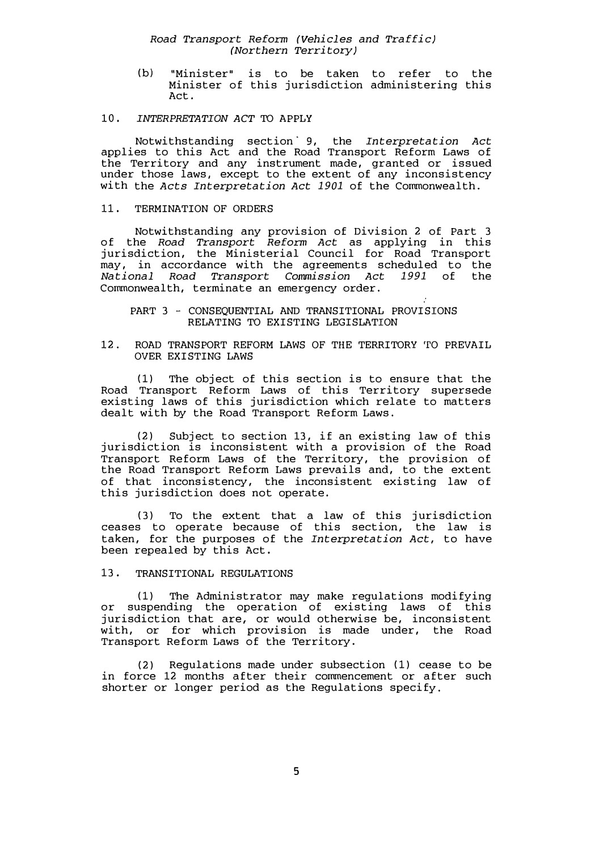(bl "Minister" is to be taken to refer to the Minister of this jurisdiction administering this Act.

# 10. *INTERPRETATION ACT* TO APPLY

Notwithstanding section· 9, the *Interpretation Act*  applies to this Act and the Road Transport Reform Laws of the Territory and any instrument made, granted or issued under those laws, except to the extent of any inconsistency with the *Acts Interpretation Act 1901* of the Commonwealth.

# 11. TERMINATION OF ORDERS

Notwithstanding any provision of Division 2 of Part 3 of the *Road Transport Reform Act* as applying in this jurisdiction, the Ministerial Council for Road Transport may, in accordance with the agreements scheduled to the *National Road Transport Commission Act 1991* of the Commonwealth, terminate an emergency order.

#### PART 3 - CONSEQUENTIAL AND TRANSITIONAL PROVISIONS RELATING TO EXISTING LEGISLATION

# 12. ROAD TRANSPORT REFORM LAWS OF THE TERRITORY 'fO PREVAIL OVER EXISTING LAWS

(1) The object of this section is to ensure that the Road Transport Reform Laws of this Territory supersede existing laws of this jurisdiction which relate to matters dealt with by the Road Transport Reform Laws.

(2) Subject to section 13, if an existing law of this jurisdiction is inconsistent with a provision of the Road Transport Reform Laws of the Territory, the provision of the Road Transport Reform Laws prevails and, to the extent of that inconsistency, the inconsistent existing law of this jurisdiction does not operate.

( 3) To the extent that a law of this jurisdiction ceases to operate because of this section, the law is taken, for the purposes of the *Interpretation Act,* to have been repealed by this Act.

#### 13. TRANSITIONAL REGULATIONS

(1) The Administrator may make regulations modifying or suspending the operation of existing laws of this jurisdiction that are, or would otherwise be, inconsistent with, or for which provision is made under, the Road Transport Reform Laws of the Territory.

(2) Regulations made under subsection (1) cease to be in force 12 months after their commencement or after such shorter or longer period as the Regulations specify.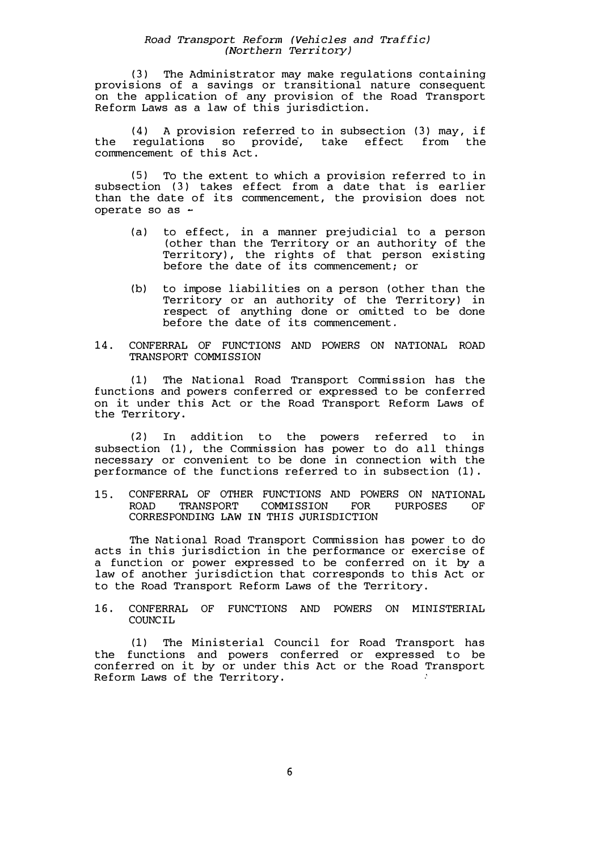# *Road Transport Reform (Vehicles and Traffic) (Northern Territory)*

(3) The Administrator may make regulations containing<br>provisions of a savings or transitional nature consequent provisions of a savings or transitional nature consequent on the application of any provision of the Road Transport Reform Laws as a law of this jurisdiction.

(4) A provision referred to in subsection (3) may, if the regulations so provide, take effect from the commencement of this Act.

(5) To the extent to which a provision referred to in subsection (3) takes effect from a date that is earlier than the date of its commencement, the provision does not operate so as

- (a) to effect, in a manner prejudicial to a person (other than the Territory or an authority of the Territory), the rights of that person existing before the date of its commencement; or
- (b) to impose liabilities on a person (other than the Territory or an authority of the Territory) in respect of anything done or omitted to be done before the date of its commencement.
- 14. CONFERRAL OF FUNCTIONS AND POWERS ON NATIONAL ROAD TRANSPORT COMMISSION

(1) The National Road Transport Commission has the functions and powers conferred or expressed to be conferred on it under this Act or the Road Transport Reform Laws of the Territory.

(2) In addition to the powers referred to in subsection (1), the Commission has power to do all things necessary or convenient to be done in connection with the performance of the functions referred to in subsection (1).

15. CONFERRAL OF OTHER FUNCTIONS AND POWERS ON NATIONAL ROAD TRANSPORT COMMISSION FOR PURPOSES OF ROAD TRANSPORT COMMISSION FOR PURPOSES OF<br>CORRESPONDEVALUATIVE TULES FURFOREOVI CORRESPONDING **LAW IN** THIS JURISDICTION

The National Road Transport Commission has power to do acts in this jurisdiction in the performance or exercise of a function or power expressed to be conferred on it by a law of another jurisdiction that corresponds to this Act or to the Road Transport Reform Laws of the Territory.

16. CONFERRAL OF FUNCTIONS AND POWERS ON MINISTERIAL COUNCIL

(1) The Ministerial Council for Road Transport has the functions and powers conferred or expressed to be conferred on it by or under this Act or the Road Transport Reform Laws of the Territory.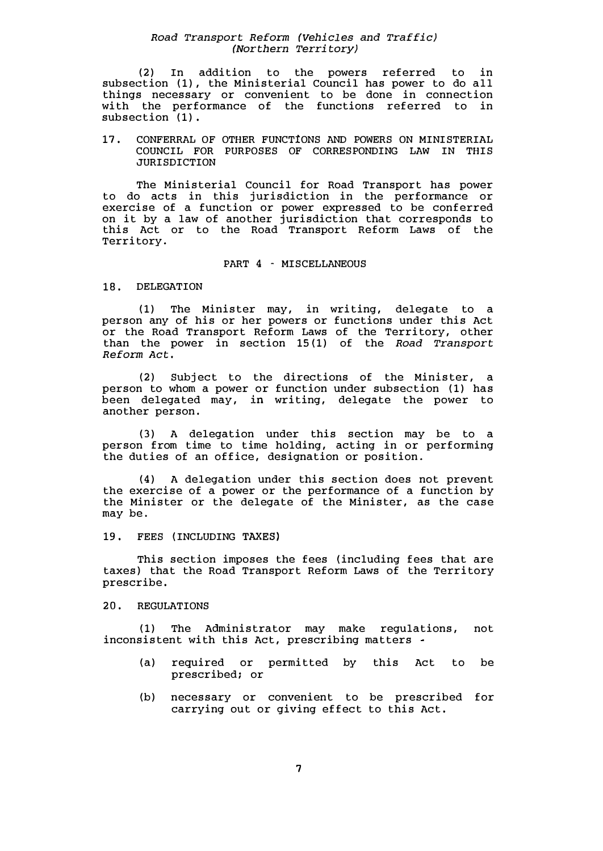(2) In addition to the powers referred to in subsection (1), the Ministerial Council has power to do all things necessary or convenient to be done in connection with the performance of the functions referred to in<br>rubecation (1) subsection (1).

### 17. CONFERRAL OF OTHER FUNCT!ONS AND POWERS ON MINISTERIAL COUNCIL FOR PURPOSES OF CORRESPONDING LAW IN THIS JURISDICTION

The Ministerial Council for Road Transport has power to do acts in this jurisdiction in the performance or exercise of a function or power expressed to be conferred on it by a law of another jurisdiction that corresponds to this Act or to the Road Transport Reform Laws of the Territory.

# PART 4 - MISCELLANEOUS

# 18. DELEGATION

(1) The Minister may, in writing, delegate to a person any of his or her powers or functions under this Act or the Road Transport Reform Laws of the Territory, other than the power in section 15 (1) of the *Road Transport Reform Act.* 

(2) Subject to the directions of the Minister, a person to whom a power or function under subsection (1) has been delegated may, *in* writing, delegate the power to another person.

(3) A delegation under this section may be to a person from time to time holding, acting in or performing the duties of an office, designation or position.

(4) A delegation under this section does not prevent the exercise of a power or the performance of a function by the Minister or the delegate of the Minister, as the case may be.

#### 19. FEES (INCLUDING **TAXES)**

This section imposes the fees (including fees that are taxes) that the Road Transport Reform Laws of the Territory prescribe.

# 20. REGULATIONS

(1) The Administrator may make regulations, not inconsistent with this Act, prescribing matters

- (a) required or permitted by this Act to be prescribed; or
- (b) necessary or convenient to be prescribed for carrying out or giving effect to this Act.